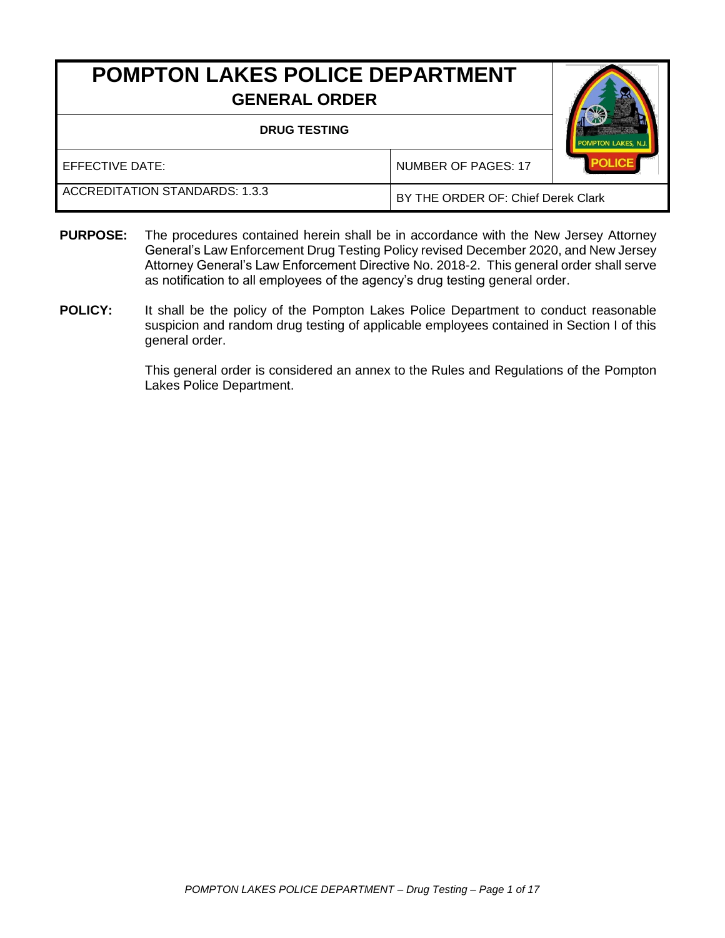# **POMPTON LAKES POLICE DEPARTMENT GENERAL ORDER**

#### **DRUG TESTING**



EFFECTIVE DATE: NUMBER OF PAGES: 17 ACCREDITATION STANDARDS: 1.3.3 BY THE ORDER OF: Chief Derek Clark

- **PURPOSE:** The procedures contained herein shall be in accordance with the New Jersey Attorney General's Law Enforcement Drug Testing Policy revised December 2020, and New Jersey Attorney General's Law Enforcement Directive No. 2018-2. This general order shall serve as notification to all employees of the agency's drug testing general order.
- **POLICY:** It shall be the policy of the Pompton Lakes Police Department to conduct reasonable suspicion and random drug testing of applicable employees contained in Section I of this general order.

This general order is considered an annex to the Rules and Regulations of the Pompton Lakes Police Department.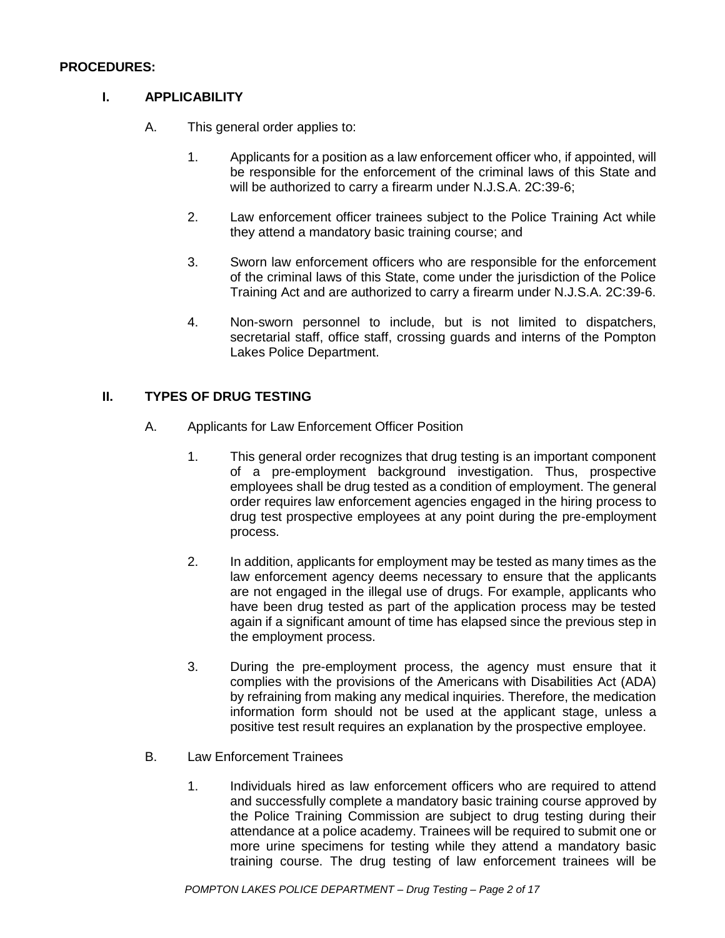#### **PROCEDURES:**

#### **I. APPLICABILITY**

- A. This general order applies to:
	- 1. Applicants for a position as a law enforcement officer who, if appointed, will be responsible for the enforcement of the criminal laws of this State and will be authorized to carry a firearm under N.J.S.A. 2C:39-6;
	- 2. Law enforcement officer trainees subject to the Police Training Act while they attend a mandatory basic training course; and
	- 3. Sworn law enforcement officers who are responsible for the enforcement of the criminal laws of this State, come under the jurisdiction of the Police Training Act and are authorized to carry a firearm under N.J.S.A. 2C:39-6.
	- 4. Non-sworn personnel to include, but is not limited to dispatchers, secretarial staff, office staff, crossing guards and interns of the Pompton Lakes Police Department.

### **II. TYPES OF DRUG TESTING**

- A. Applicants for Law Enforcement Officer Position
	- 1. This general order recognizes that drug testing is an important component of a pre-employment background investigation. Thus, prospective employees shall be drug tested as a condition of employment. The general order requires law enforcement agencies engaged in the hiring process to drug test prospective employees at any point during the pre-employment process.
	- 2. In addition, applicants for employment may be tested as many times as the law enforcement agency deems necessary to ensure that the applicants are not engaged in the illegal use of drugs. For example, applicants who have been drug tested as part of the application process may be tested again if a significant amount of time has elapsed since the previous step in the employment process.
	- 3. During the pre-employment process, the agency must ensure that it complies with the provisions of the Americans with Disabilities Act (ADA) by refraining from making any medical inquiries. Therefore, the medication information form should not be used at the applicant stage, unless a positive test result requires an explanation by the prospective employee.
- B. Law Enforcement Trainees
	- 1. Individuals hired as law enforcement officers who are required to attend and successfully complete a mandatory basic training course approved by the Police Training Commission are subject to drug testing during their attendance at a police academy. Trainees will be required to submit one or more urine specimens for testing while they attend a mandatory basic training course. The drug testing of law enforcement trainees will be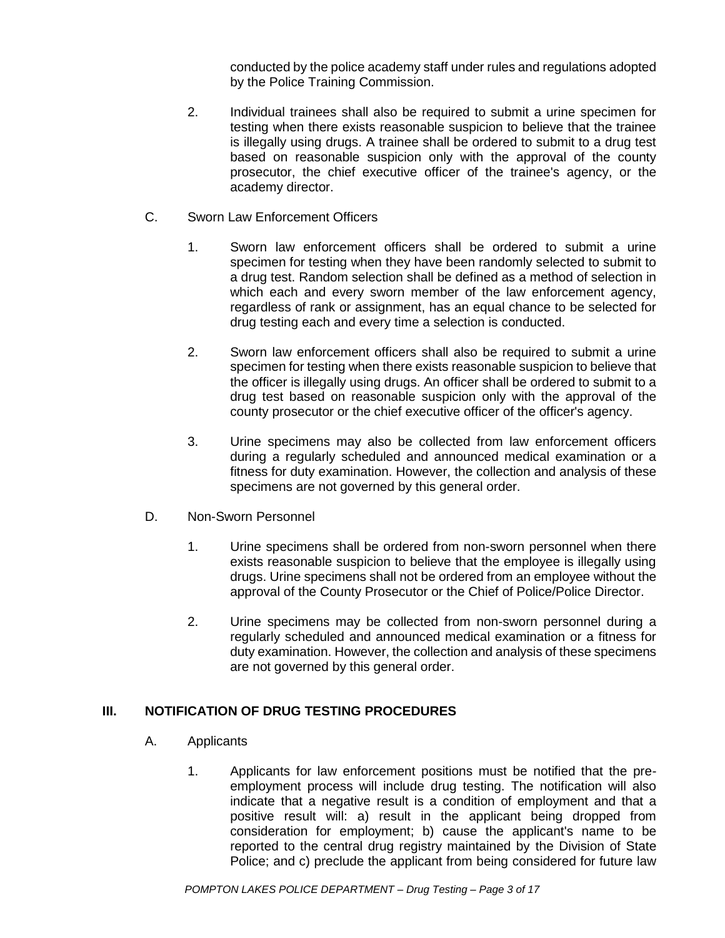conducted by the police academy staff under rules and regulations adopted by the Police Training Commission.

- 2. Individual trainees shall also be required to submit a urine specimen for testing when there exists reasonable suspicion to believe that the trainee is illegally using drugs. A trainee shall be ordered to submit to a drug test based on reasonable suspicion only with the approval of the county prosecutor, the chief executive officer of the trainee's agency, or the academy director.
- C. Sworn Law Enforcement Officers
	- 1. Sworn law enforcement officers shall be ordered to submit a urine specimen for testing when they have been randomly selected to submit to a drug test. Random selection shall be defined as a method of selection in which each and every sworn member of the law enforcement agency, regardless of rank or assignment, has an equal chance to be selected for drug testing each and every time a selection is conducted.
	- 2. Sworn law enforcement officers shall also be required to submit a urine specimen for testing when there exists reasonable suspicion to believe that the officer is illegally using drugs. An officer shall be ordered to submit to a drug test based on reasonable suspicion only with the approval of the county prosecutor or the chief executive officer of the officer's agency.
	- 3. Urine specimens may also be collected from law enforcement officers during a regularly scheduled and announced medical examination or a fitness for duty examination. However, the collection and analysis of these specimens are not governed by this general order.
- D. Non-Sworn Personnel
	- 1. Urine specimens shall be ordered from non-sworn personnel when there exists reasonable suspicion to believe that the employee is illegally using drugs. Urine specimens shall not be ordered from an employee without the approval of the County Prosecutor or the Chief of Police/Police Director.
	- 2. Urine specimens may be collected from non-sworn personnel during a regularly scheduled and announced medical examination or a fitness for duty examination. However, the collection and analysis of these specimens are not governed by this general order.

# **III. NOTIFICATION OF DRUG TESTING PROCEDURES**

- A. Applicants
	- 1. Applicants for law enforcement positions must be notified that the preemployment process will include drug testing. The notification will also indicate that a negative result is a condition of employment and that a positive result will: a) result in the applicant being dropped from consideration for employment; b) cause the applicant's name to be reported to the central drug registry maintained by the Division of State Police; and c) preclude the applicant from being considered for future law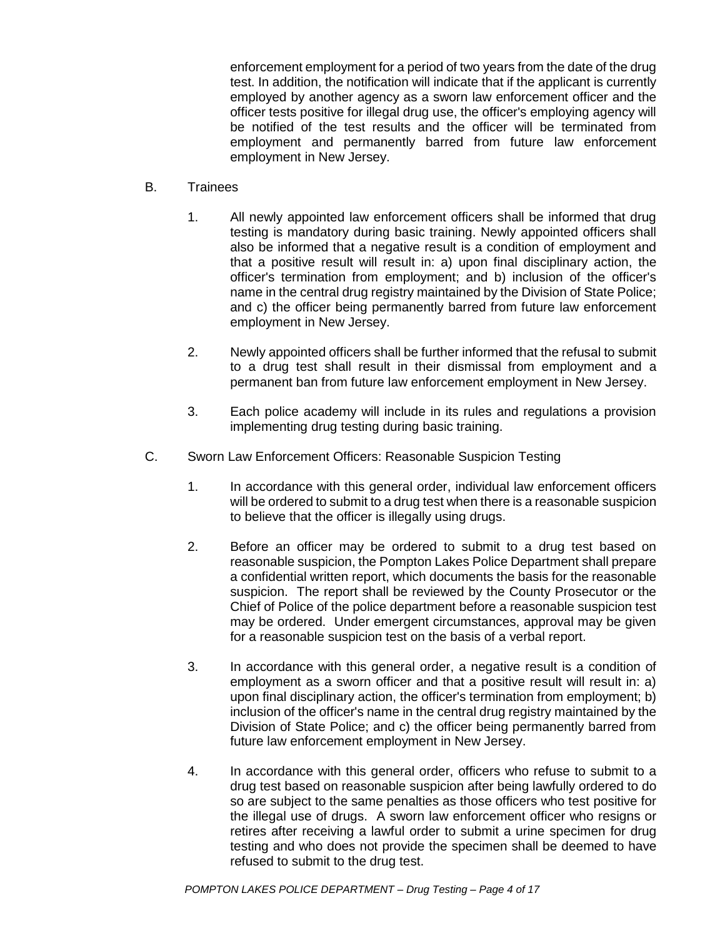enforcement employment for a period of two years from the date of the drug test. In addition, the notification will indicate that if the applicant is currently employed by another agency as a sworn law enforcement officer and the officer tests positive for illegal drug use, the officer's employing agency will be notified of the test results and the officer will be terminated from employment and permanently barred from future law enforcement employment in New Jersey.

- B. Trainees
	- 1. All newly appointed law enforcement officers shall be informed that drug testing is mandatory during basic training. Newly appointed officers shall also be informed that a negative result is a condition of employment and that a positive result will result in: a) upon final disciplinary action, the officer's termination from employment; and b) inclusion of the officer's name in the central drug registry maintained by the Division of State Police; and c) the officer being permanently barred from future law enforcement employment in New Jersey.
	- 2. Newly appointed officers shall be further informed that the refusal to submit to a drug test shall result in their dismissal from employment and a permanent ban from future law enforcement employment in New Jersey.
	- 3. Each police academy will include in its rules and regulations a provision implementing drug testing during basic training.
- C. Sworn Law Enforcement Officers: Reasonable Suspicion Testing
	- 1. In accordance with this general order, individual law enforcement officers will be ordered to submit to a drug test when there is a reasonable suspicion to believe that the officer is illegally using drugs.
	- 2. Before an officer may be ordered to submit to a drug test based on reasonable suspicion, the Pompton Lakes Police Department shall prepare a confidential written report, which documents the basis for the reasonable suspicion. The report shall be reviewed by the County Prosecutor or the Chief of Police of the police department before a reasonable suspicion test may be ordered. Under emergent circumstances, approval may be given for a reasonable suspicion test on the basis of a verbal report.
	- 3. In accordance with this general order, a negative result is a condition of employment as a sworn officer and that a positive result will result in: a) upon final disciplinary action, the officer's termination from employment; b) inclusion of the officer's name in the central drug registry maintained by the Division of State Police; and c) the officer being permanently barred from future law enforcement employment in New Jersey.
	- 4. In accordance with this general order, officers who refuse to submit to a drug test based on reasonable suspicion after being lawfully ordered to do so are subject to the same penalties as those officers who test positive for the illegal use of drugs. A sworn law enforcement officer who resigns or retires after receiving a lawful order to submit a urine specimen for drug testing and who does not provide the specimen shall be deemed to have refused to submit to the drug test.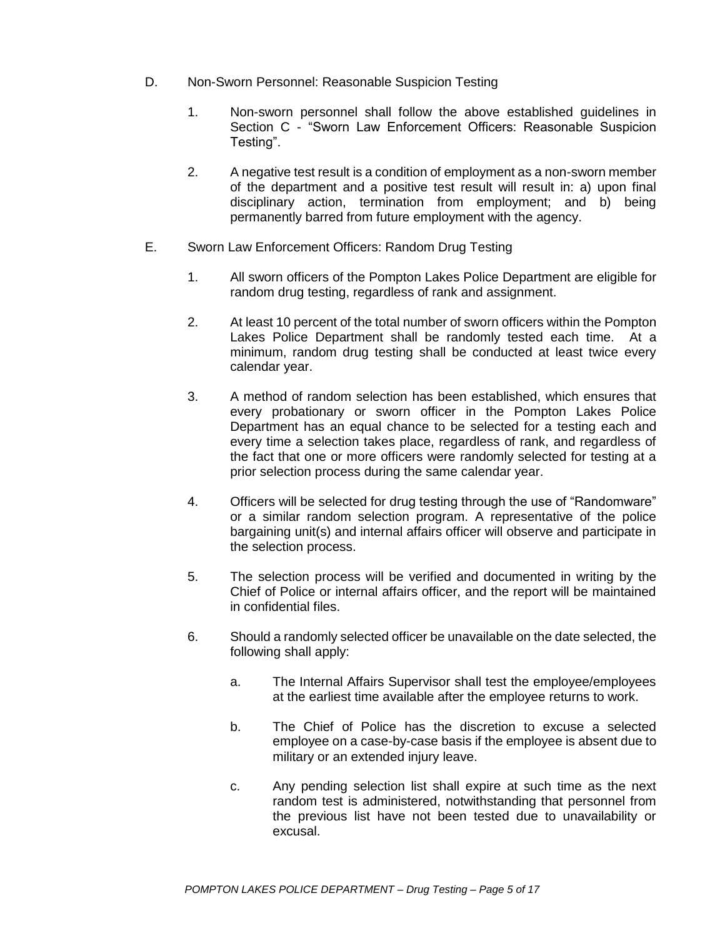- D. Non-Sworn Personnel: Reasonable Suspicion Testing
	- 1. Non-sworn personnel shall follow the above established guidelines in Section C - "Sworn Law Enforcement Officers: Reasonable Suspicion Testing".
	- 2. A negative test result is a condition of employment as a non-sworn member of the department and a positive test result will result in: a) upon final disciplinary action, termination from employment; and b) being permanently barred from future employment with the agency.
- E. Sworn Law Enforcement Officers: Random Drug Testing
	- 1. All sworn officers of the Pompton Lakes Police Department are eligible for random drug testing, regardless of rank and assignment.
	- 2. At least 10 percent of the total number of sworn officers within the Pompton Lakes Police Department shall be randomly tested each time. At a minimum, random drug testing shall be conducted at least twice every calendar year.
	- 3. A method of random selection has been established, which ensures that every probationary or sworn officer in the Pompton Lakes Police Department has an equal chance to be selected for a testing each and every time a selection takes place, regardless of rank, and regardless of the fact that one or more officers were randomly selected for testing at a prior selection process during the same calendar year.
	- 4. Officers will be selected for drug testing through the use of "Randomware" or a similar random selection program. A representative of the police bargaining unit(s) and internal affairs officer will observe and participate in the selection process.
	- 5. The selection process will be verified and documented in writing by the Chief of Police or internal affairs officer, and the report will be maintained in confidential files.
	- 6. Should a randomly selected officer be unavailable on the date selected, the following shall apply:
		- a. The Internal Affairs Supervisor shall test the employee/employees at the earliest time available after the employee returns to work.
		- b. The Chief of Police has the discretion to excuse a selected employee on a case-by-case basis if the employee is absent due to military or an extended injury leave.
		- c. Any pending selection list shall expire at such time as the next random test is administered, notwithstanding that personnel from the previous list have not been tested due to unavailability or excusal.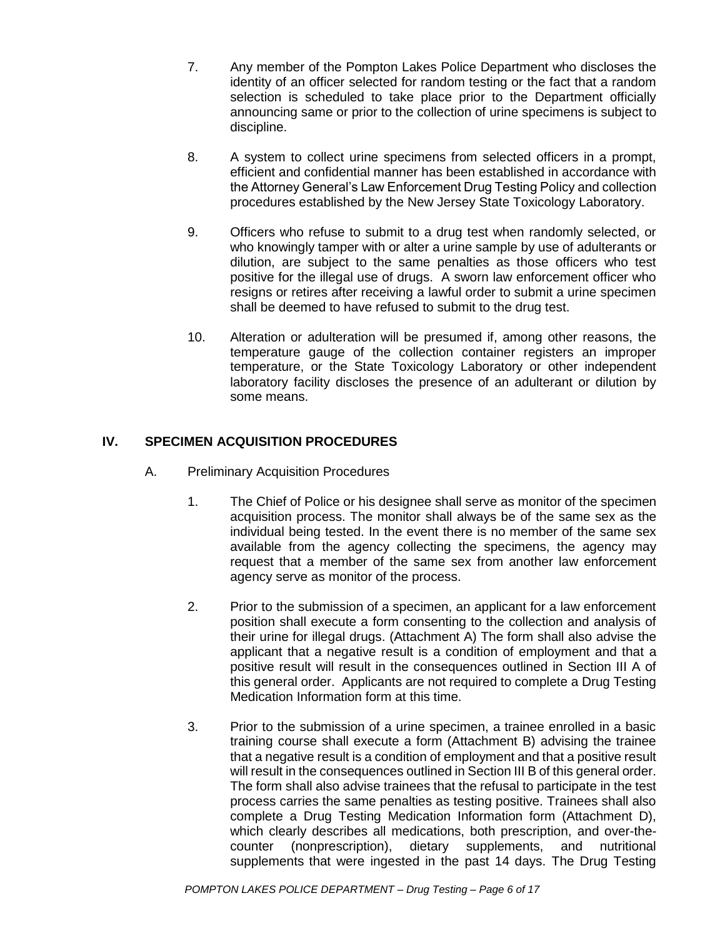- 7. Any member of the Pompton Lakes Police Department who discloses the identity of an officer selected for random testing or the fact that a random selection is scheduled to take place prior to the Department officially announcing same or prior to the collection of urine specimens is subject to discipline.
- 8. A system to collect urine specimens from selected officers in a prompt, efficient and confidential manner has been established in accordance with the Attorney General's Law Enforcement Drug Testing Policy and collection procedures established by the New Jersey State Toxicology Laboratory.
- 9. Officers who refuse to submit to a drug test when randomly selected, or who knowingly tamper with or alter a urine sample by use of adulterants or dilution, are subject to the same penalties as those officers who test positive for the illegal use of drugs. A sworn law enforcement officer who resigns or retires after receiving a lawful order to submit a urine specimen shall be deemed to have refused to submit to the drug test.
- 10. Alteration or adulteration will be presumed if, among other reasons, the temperature gauge of the collection container registers an improper temperature, or the State Toxicology Laboratory or other independent laboratory facility discloses the presence of an adulterant or dilution by some means.

# **IV. SPECIMEN ACQUISITION PROCEDURES**

- A. Preliminary Acquisition Procedures
	- 1. The Chief of Police or his designee shall serve as monitor of the specimen acquisition process. The monitor shall always be of the same sex as the individual being tested. In the event there is no member of the same sex available from the agency collecting the specimens, the agency may request that a member of the same sex from another law enforcement agency serve as monitor of the process.
	- 2. Prior to the submission of a specimen, an applicant for a law enforcement position shall execute a form consenting to the collection and analysis of their urine for illegal drugs. (Attachment A) The form shall also advise the applicant that a negative result is a condition of employment and that a positive result will result in the consequences outlined in Section III A of this general order. Applicants are not required to complete a Drug Testing Medication Information form at this time.
	- 3. Prior to the submission of a urine specimen, a trainee enrolled in a basic training course shall execute a form (Attachment B) advising the trainee that a negative result is a condition of employment and that a positive result will result in the consequences outlined in Section III B of this general order. The form shall also advise trainees that the refusal to participate in the test process carries the same penalties as testing positive. Trainees shall also complete a Drug Testing Medication Information form (Attachment D), which clearly describes all medications, both prescription, and over-thecounter (nonprescription), dietary supplements, and nutritional supplements that were ingested in the past 14 days. The Drug Testing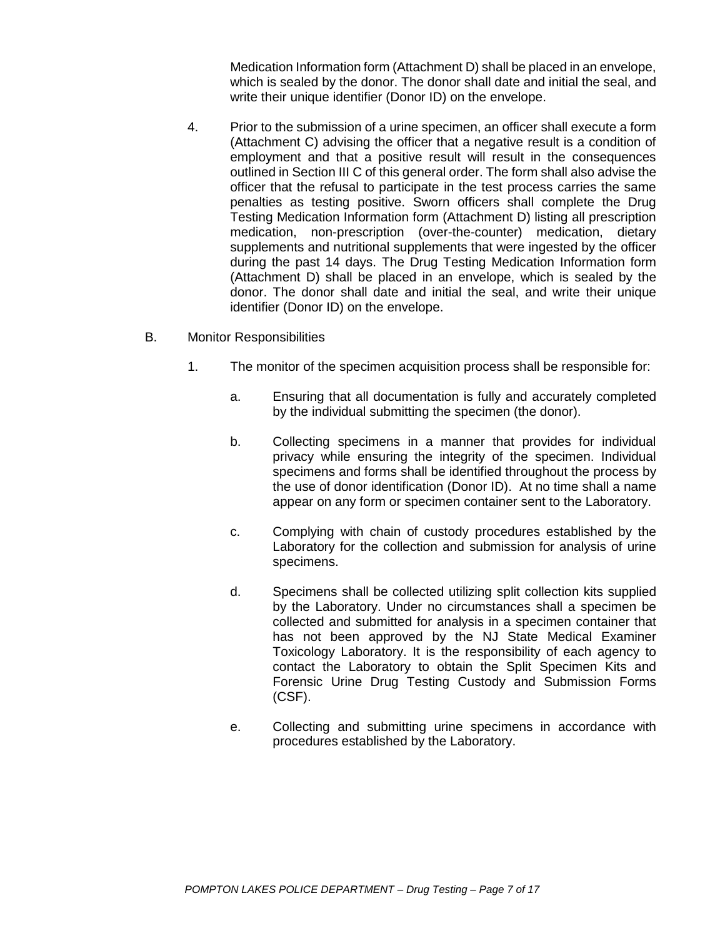Medication Information form (Attachment D) shall be placed in an envelope, which is sealed by the donor. The donor shall date and initial the seal, and write their unique identifier (Donor ID) on the envelope.

- 4. Prior to the submission of a urine specimen, an officer shall execute a form (Attachment C) advising the officer that a negative result is a condition of employment and that a positive result will result in the consequences outlined in Section III C of this general order. The form shall also advise the officer that the refusal to participate in the test process carries the same penalties as testing positive. Sworn officers shall complete the Drug Testing Medication Information form (Attachment D) listing all prescription medication, non-prescription (over-the-counter) medication, dietary supplements and nutritional supplements that were ingested by the officer during the past 14 days. The Drug Testing Medication Information form (Attachment D) shall be placed in an envelope, which is sealed by the donor. The donor shall date and initial the seal, and write their unique identifier (Donor ID) on the envelope.
- B. Monitor Responsibilities
	- 1. The monitor of the specimen acquisition process shall be responsible for:
		- a. Ensuring that all documentation is fully and accurately completed by the individual submitting the specimen (the donor).
		- b. Collecting specimens in a manner that provides for individual privacy while ensuring the integrity of the specimen. Individual specimens and forms shall be identified throughout the process by the use of donor identification (Donor ID). At no time shall a name appear on any form or specimen container sent to the Laboratory.
		- c. Complying with chain of custody procedures established by the Laboratory for the collection and submission for analysis of urine specimens.
		- d. Specimens shall be collected utilizing split collection kits supplied by the Laboratory. Under no circumstances shall a specimen be collected and submitted for analysis in a specimen container that has not been approved by the NJ State Medical Examiner Toxicology Laboratory. It is the responsibility of each agency to contact the Laboratory to obtain the Split Specimen Kits and Forensic Urine Drug Testing Custody and Submission Forms (CSF).
		- e. Collecting and submitting urine specimens in accordance with procedures established by the Laboratory.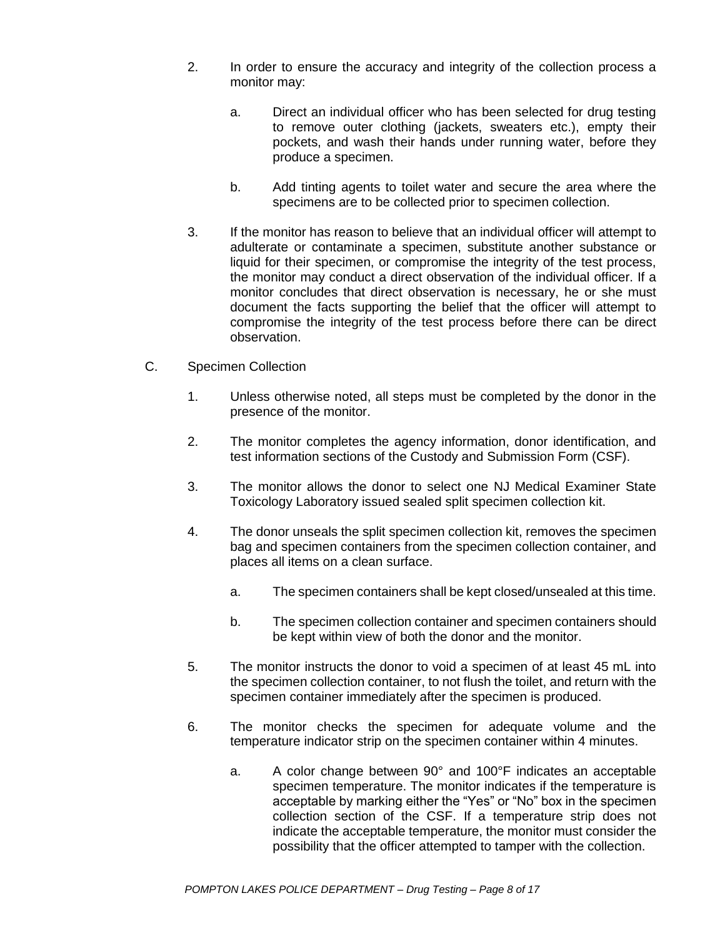- 2. In order to ensure the accuracy and integrity of the collection process a monitor may:
	- a. Direct an individual officer who has been selected for drug testing to remove outer clothing (jackets, sweaters etc.), empty their pockets, and wash their hands under running water, before they produce a specimen.
	- b. Add tinting agents to toilet water and secure the area where the specimens are to be collected prior to specimen collection.
- 3. If the monitor has reason to believe that an individual officer will attempt to adulterate or contaminate a specimen, substitute another substance or liquid for their specimen, or compromise the integrity of the test process, the monitor may conduct a direct observation of the individual officer. If a monitor concludes that direct observation is necessary, he or she must document the facts supporting the belief that the officer will attempt to compromise the integrity of the test process before there can be direct observation.
- C. Specimen Collection
	- 1. Unless otherwise noted, all steps must be completed by the donor in the presence of the monitor.
	- 2. The monitor completes the agency information, donor identification, and test information sections of the Custody and Submission Form (CSF).
	- 3. The monitor allows the donor to select one NJ Medical Examiner State Toxicology Laboratory issued sealed split specimen collection kit.
	- 4. The donor unseals the split specimen collection kit, removes the specimen bag and specimen containers from the specimen collection container, and places all items on a clean surface.
		- a. The specimen containers shall be kept closed/unsealed at this time.
		- b. The specimen collection container and specimen containers should be kept within view of both the donor and the monitor.
	- 5. The monitor instructs the donor to void a specimen of at least 45 mL into the specimen collection container, to not flush the toilet, and return with the specimen container immediately after the specimen is produced.
	- 6. The monitor checks the specimen for adequate volume and the temperature indicator strip on the specimen container within 4 minutes.
		- a. A color change between 90° and 100°F indicates an acceptable specimen temperature. The monitor indicates if the temperature is acceptable by marking either the "Yes" or "No" box in the specimen collection section of the CSF. If a temperature strip does not indicate the acceptable temperature, the monitor must consider the possibility that the officer attempted to tamper with the collection.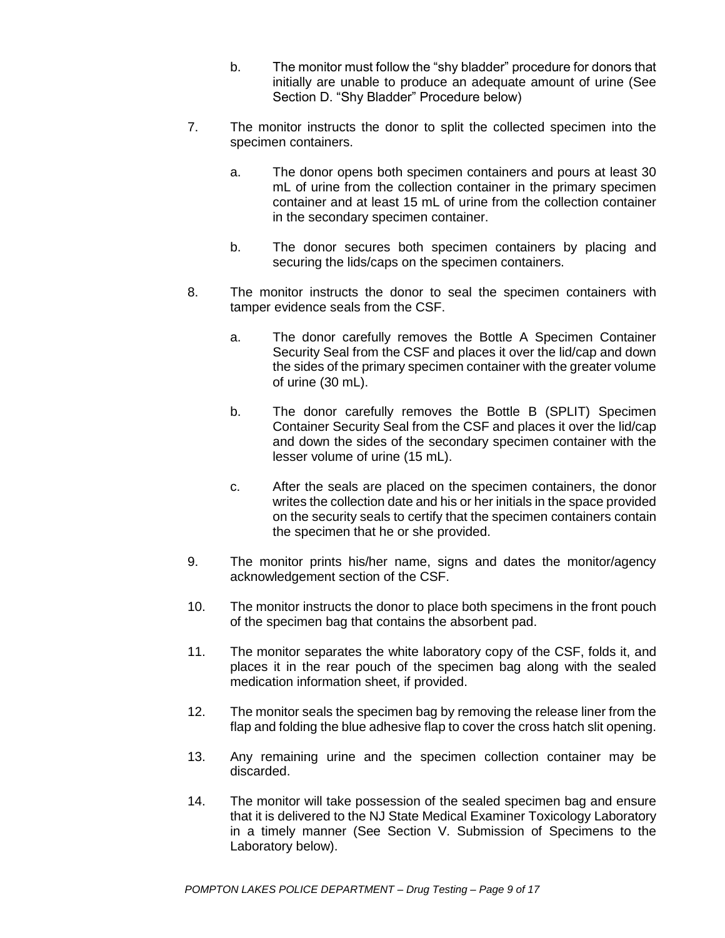- b. The monitor must follow the "shy bladder" procedure for donors that initially are unable to produce an adequate amount of urine (See Section D. "Shy Bladder" Procedure below)
- 7. The monitor instructs the donor to split the collected specimen into the specimen containers.
	- a. The donor opens both specimen containers and pours at least 30 mL of urine from the collection container in the primary specimen container and at least 15 mL of urine from the collection container in the secondary specimen container.
	- b. The donor secures both specimen containers by placing and securing the lids/caps on the specimen containers.
- 8. The monitor instructs the donor to seal the specimen containers with tamper evidence seals from the CSF.
	- a. The donor carefully removes the Bottle A Specimen Container Security Seal from the CSF and places it over the lid/cap and down the sides of the primary specimen container with the greater volume of urine (30 mL).
	- b. The donor carefully removes the Bottle B (SPLIT) Specimen Container Security Seal from the CSF and places it over the lid/cap and down the sides of the secondary specimen container with the lesser volume of urine (15 mL).
	- c. After the seals are placed on the specimen containers, the donor writes the collection date and his or her initials in the space provided on the security seals to certify that the specimen containers contain the specimen that he or she provided.
- 9. The monitor prints his/her name, signs and dates the monitor/agency acknowledgement section of the CSF.
- 10. The monitor instructs the donor to place both specimens in the front pouch of the specimen bag that contains the absorbent pad.
- 11. The monitor separates the white laboratory copy of the CSF, folds it, and places it in the rear pouch of the specimen bag along with the sealed medication information sheet, if provided.
- 12. The monitor seals the specimen bag by removing the release liner from the flap and folding the blue adhesive flap to cover the cross hatch slit opening.
- 13. Any remaining urine and the specimen collection container may be discarded.
- 14. The monitor will take possession of the sealed specimen bag and ensure that it is delivered to the NJ State Medical Examiner Toxicology Laboratory in a timely manner (See Section V. Submission of Specimens to the Laboratory below).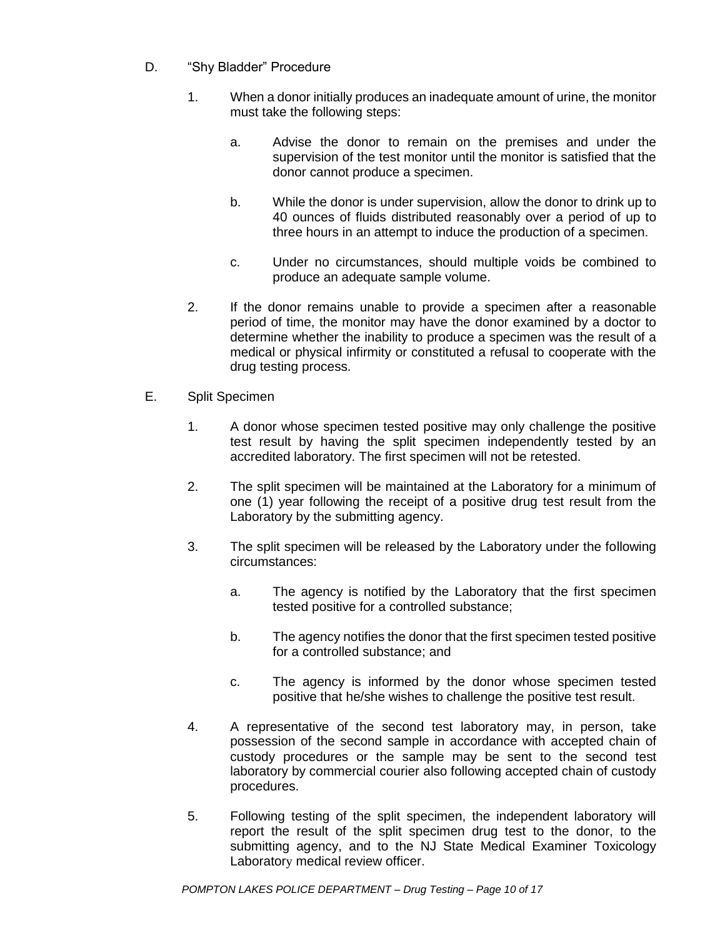- D. "Shy Bladder" Procedure
	- 1. When a donor initially produces an inadequate amount of urine, the monitor must take the following steps:
		- a. Advise the donor to remain on the premises and under the supervision of the test monitor until the monitor is satisfied that the donor cannot produce a specimen.
		- b. While the donor is under supervision, allow the donor to drink up to 40 ounces of fluids distributed reasonably over a period of up to three hours in an attempt to induce the production of a specimen.
		- c. Under no circumstances, should multiple voids be combined to produce an adequate sample volume.
	- 2. If the donor remains unable to provide a specimen after a reasonable period of time, the monitor may have the donor examined by a doctor to determine whether the inability to produce a specimen was the result of a medical or physical infirmity or constituted a refusal to cooperate with the drug testing process.
- E. Split Specimen
	- 1. A donor whose specimen tested positive may only challenge the positive test result by having the split specimen independently tested by an accredited laboratory. The first specimen will not be retested.
	- 2. The split specimen will be maintained at the Laboratory for a minimum of one (1) year following the receipt of a positive drug test result from the Laboratory by the submitting agency.
	- 3. The split specimen will be released by the Laboratory under the following circumstances:
		- a. The agency is notified by the Laboratory that the first specimen tested positive for a controlled substance;
		- b. The agency notifies the donor that the first specimen tested positive for a controlled substance; and
		- c. The agency is informed by the donor whose specimen tested positive that he/she wishes to challenge the positive test result.
	- 4. A representative of the second test laboratory may, in person, take possession of the second sample in accordance with accepted chain of custody procedures or the sample may be sent to the second test laboratory by commercial courier also following accepted chain of custody procedures.
	- 5. Following testing of the split specimen, the independent laboratory will report the result of the split specimen drug test to the donor, to the submitting agency, and to the NJ State Medical Examiner Toxicology Laboratory medical review officer.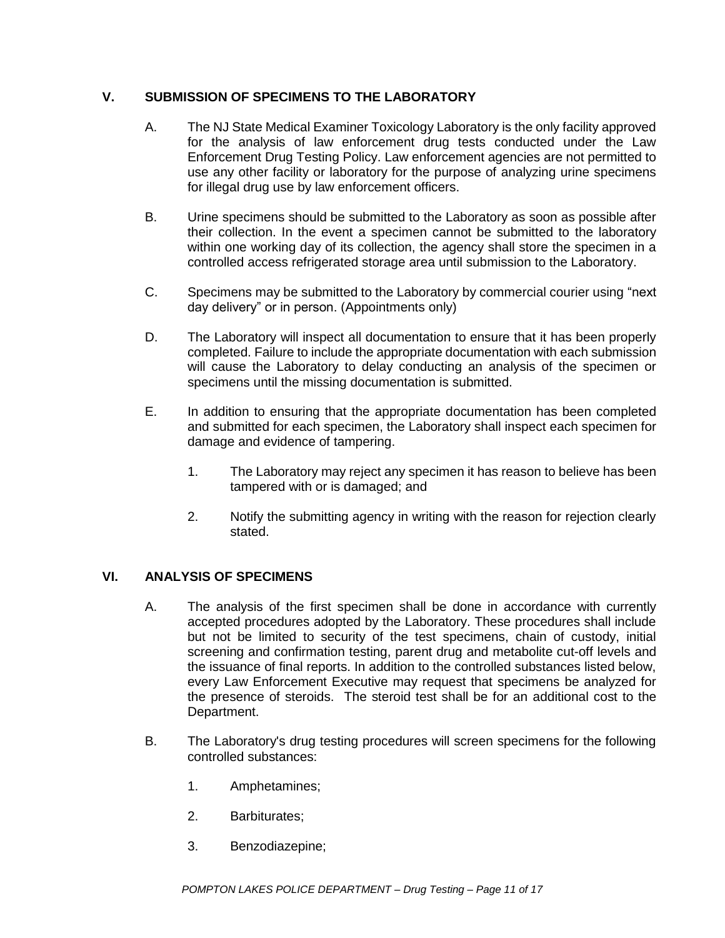## **V. SUBMISSION OF SPECIMENS TO THE LABORATORY**

- A. The NJ State Medical Examiner Toxicology Laboratory is the only facility approved for the analysis of law enforcement drug tests conducted under the Law Enforcement Drug Testing Policy. Law enforcement agencies are not permitted to use any other facility or laboratory for the purpose of analyzing urine specimens for illegal drug use by law enforcement officers.
- B. Urine specimens should be submitted to the Laboratory as soon as possible after their collection. In the event a specimen cannot be submitted to the laboratory within one working day of its collection, the agency shall store the specimen in a controlled access refrigerated storage area until submission to the Laboratory.
- C. Specimens may be submitted to the Laboratory by commercial courier using "next day delivery" or in person. (Appointments only)
- D. The Laboratory will inspect all documentation to ensure that it has been properly completed. Failure to include the appropriate documentation with each submission will cause the Laboratory to delay conducting an analysis of the specimen or specimens until the missing documentation is submitted.
- E. In addition to ensuring that the appropriate documentation has been completed and submitted for each specimen, the Laboratory shall inspect each specimen for damage and evidence of tampering.
	- 1. The Laboratory may reject any specimen it has reason to believe has been tampered with or is damaged; and
	- 2. Notify the submitting agency in writing with the reason for rejection clearly stated.

### **VI. ANALYSIS OF SPECIMENS**

- A. The analysis of the first specimen shall be done in accordance with currently accepted procedures adopted by the Laboratory. These procedures shall include but not be limited to security of the test specimens, chain of custody, initial screening and confirmation testing, parent drug and metabolite cut-off levels and the issuance of final reports. In addition to the controlled substances listed below, every Law Enforcement Executive may request that specimens be analyzed for the presence of steroids. The steroid test shall be for an additional cost to the Department.
- B. The Laboratory's drug testing procedures will screen specimens for the following controlled substances:
	- 1. Amphetamines;
	- 2. Barbiturates;
	- 3. Benzodiazepine;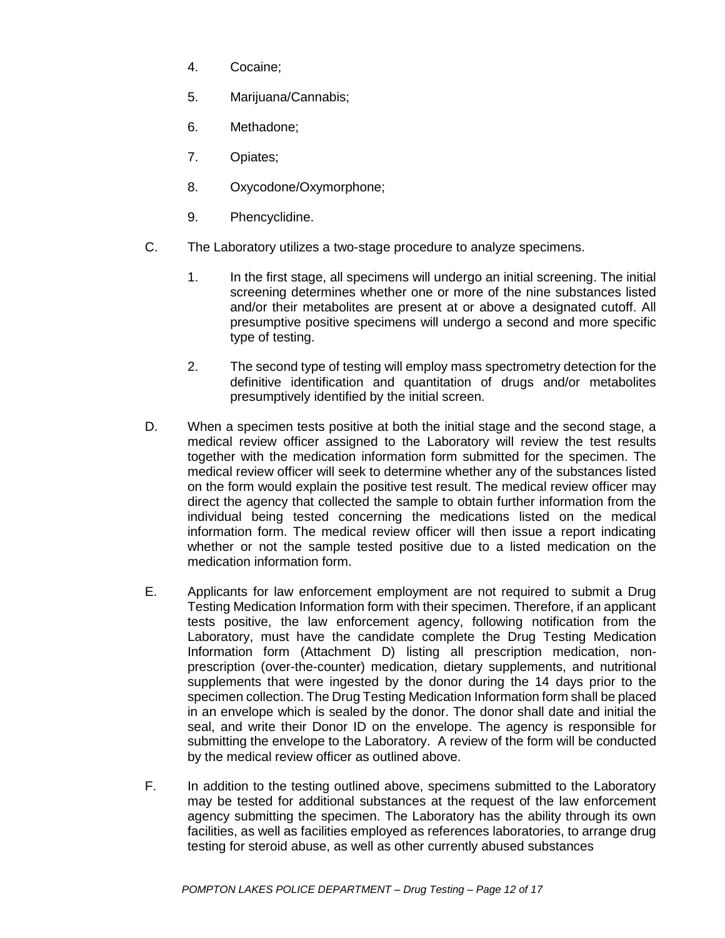- 4. Cocaine;
- 5. Marijuana/Cannabis;
- 6. Methadone;
- 7. Opiates;
- 8. Oxycodone/Oxymorphone;
- 9. Phencyclidine.
- C. The Laboratory utilizes a two-stage procedure to analyze specimens.
	- 1. In the first stage, all specimens will undergo an initial screening. The initial screening determines whether one or more of the nine substances listed and/or their metabolites are present at or above a designated cutoff. All presumptive positive specimens will undergo a second and more specific type of testing.
	- 2. The second type of testing will employ mass spectrometry detection for the definitive identification and quantitation of drugs and/or metabolites presumptively identified by the initial screen.
- D. When a specimen tests positive at both the initial stage and the second stage, a medical review officer assigned to the Laboratory will review the test results together with the medication information form submitted for the specimen. The medical review officer will seek to determine whether any of the substances listed on the form would explain the positive test result. The medical review officer may direct the agency that collected the sample to obtain further information from the individual being tested concerning the medications listed on the medical information form. The medical review officer will then issue a report indicating whether or not the sample tested positive due to a listed medication on the medication information form.
- E. Applicants for law enforcement employment are not required to submit a Drug Testing Medication Information form with their specimen. Therefore, if an applicant tests positive, the law enforcement agency, following notification from the Laboratory, must have the candidate complete the Drug Testing Medication Information form (Attachment D) listing all prescription medication, nonprescription (over-the-counter) medication, dietary supplements, and nutritional supplements that were ingested by the donor during the 14 days prior to the specimen collection. The Drug Testing Medication Information form shall be placed in an envelope which is sealed by the donor. The donor shall date and initial the seal, and write their Donor ID on the envelope. The agency is responsible for submitting the envelope to the Laboratory. A review of the form will be conducted by the medical review officer as outlined above.
- F. In addition to the testing outlined above, specimens submitted to the Laboratory may be tested for additional substances at the request of the law enforcement agency submitting the specimen. The Laboratory has the ability through its own facilities, as well as facilities employed as references laboratories, to arrange drug testing for steroid abuse, as well as other currently abused substances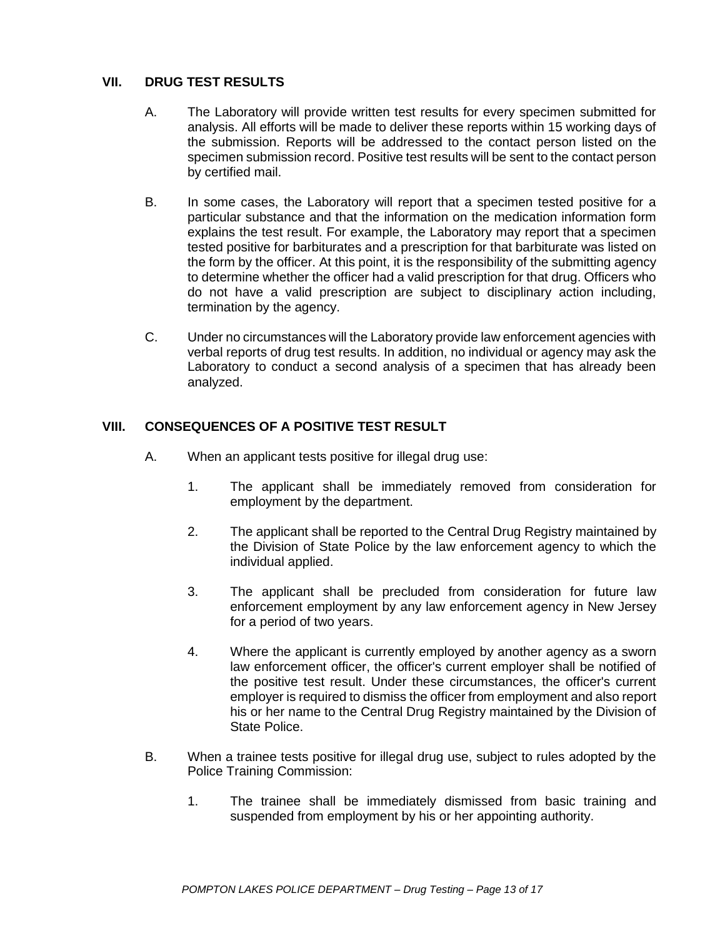## **VII. DRUG TEST RESULTS**

- A. The Laboratory will provide written test results for every specimen submitted for analysis. All efforts will be made to deliver these reports within 15 working days of the submission. Reports will be addressed to the contact person listed on the specimen submission record. Positive test results will be sent to the contact person by certified mail.
- B. In some cases, the Laboratory will report that a specimen tested positive for a particular substance and that the information on the medication information form explains the test result. For example, the Laboratory may report that a specimen tested positive for barbiturates and a prescription for that barbiturate was listed on the form by the officer. At this point, it is the responsibility of the submitting agency to determine whether the officer had a valid prescription for that drug. Officers who do not have a valid prescription are subject to disciplinary action including, termination by the agency.
- C. Under no circumstances will the Laboratory provide law enforcement agencies with verbal reports of drug test results. In addition, no individual or agency may ask the Laboratory to conduct a second analysis of a specimen that has already been analyzed.

## **VIII. CONSEQUENCES OF A POSITIVE TEST RESULT**

- A. When an applicant tests positive for illegal drug use:
	- 1. The applicant shall be immediately removed from consideration for employment by the department.
	- 2. The applicant shall be reported to the Central Drug Registry maintained by the Division of State Police by the law enforcement agency to which the individual applied.
	- 3. The applicant shall be precluded from consideration for future law enforcement employment by any law enforcement agency in New Jersey for a period of two years.
	- 4. Where the applicant is currently employed by another agency as a sworn law enforcement officer, the officer's current employer shall be notified of the positive test result. Under these circumstances, the officer's current employer is required to dismiss the officer from employment and also report his or her name to the Central Drug Registry maintained by the Division of State Police.
- B. When a trainee tests positive for illegal drug use, subject to rules adopted by the Police Training Commission:
	- 1. The trainee shall be immediately dismissed from basic training and suspended from employment by his or her appointing authority.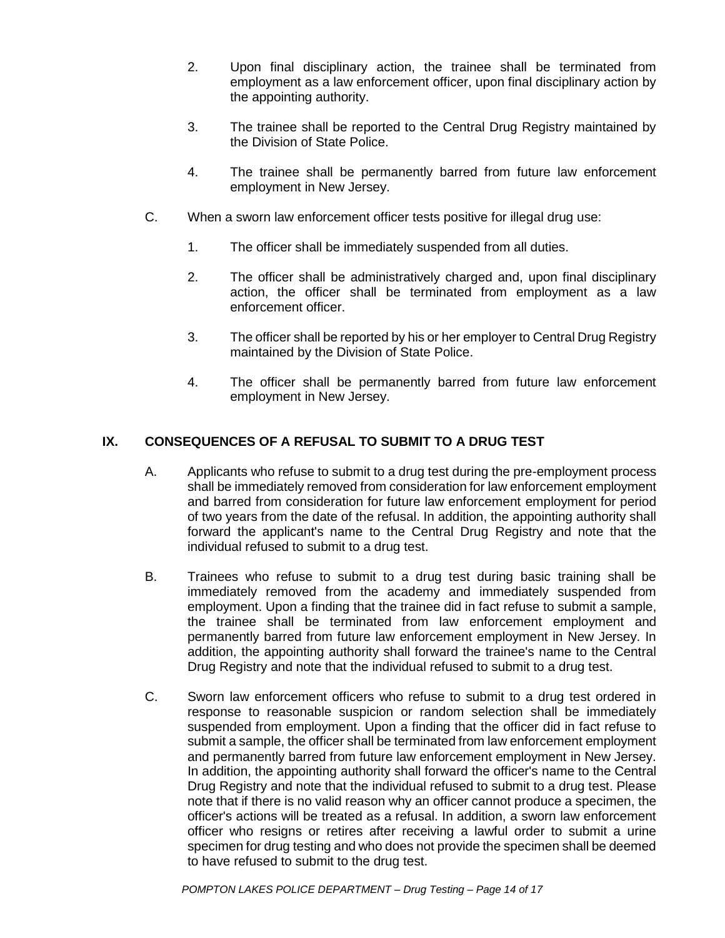- 2. Upon final disciplinary action, the trainee shall be terminated from employment as a law enforcement officer, upon final disciplinary action by the appointing authority.
- 3. The trainee shall be reported to the Central Drug Registry maintained by the Division of State Police.
- 4. The trainee shall be permanently barred from future law enforcement employment in New Jersey.
- C. When a sworn law enforcement officer tests positive for illegal drug use:
	- 1. The officer shall be immediately suspended from all duties.
	- 2. The officer shall be administratively charged and, upon final disciplinary action, the officer shall be terminated from employment as a law enforcement officer.
	- 3. The officer shall be reported by his or her employer to Central Drug Registry maintained by the Division of State Police.
	- 4. The officer shall be permanently barred from future law enforcement employment in New Jersey.

# **IX. CONSEQUENCES OF A REFUSAL TO SUBMIT TO A DRUG TEST**

- A. Applicants who refuse to submit to a drug test during the pre-employment process shall be immediately removed from consideration for law enforcement employment and barred from consideration for future law enforcement employment for period of two years from the date of the refusal. In addition, the appointing authority shall forward the applicant's name to the Central Drug Registry and note that the individual refused to submit to a drug test.
- B. Trainees who refuse to submit to a drug test during basic training shall be immediately removed from the academy and immediately suspended from employment. Upon a finding that the trainee did in fact refuse to submit a sample, the trainee shall be terminated from law enforcement employment and permanently barred from future law enforcement employment in New Jersey. In addition, the appointing authority shall forward the trainee's name to the Central Drug Registry and note that the individual refused to submit to a drug test.
- C. Sworn law enforcement officers who refuse to submit to a drug test ordered in response to reasonable suspicion or random selection shall be immediately suspended from employment. Upon a finding that the officer did in fact refuse to submit a sample, the officer shall be terminated from law enforcement employment and permanently barred from future law enforcement employment in New Jersey. In addition, the appointing authority shall forward the officer's name to the Central Drug Registry and note that the individual refused to submit to a drug test. Please note that if there is no valid reason why an officer cannot produce a specimen, the officer's actions will be treated as a refusal. In addition, a sworn law enforcement officer who resigns or retires after receiving a lawful order to submit a urine specimen for drug testing and who does not provide the specimen shall be deemed to have refused to submit to the drug test.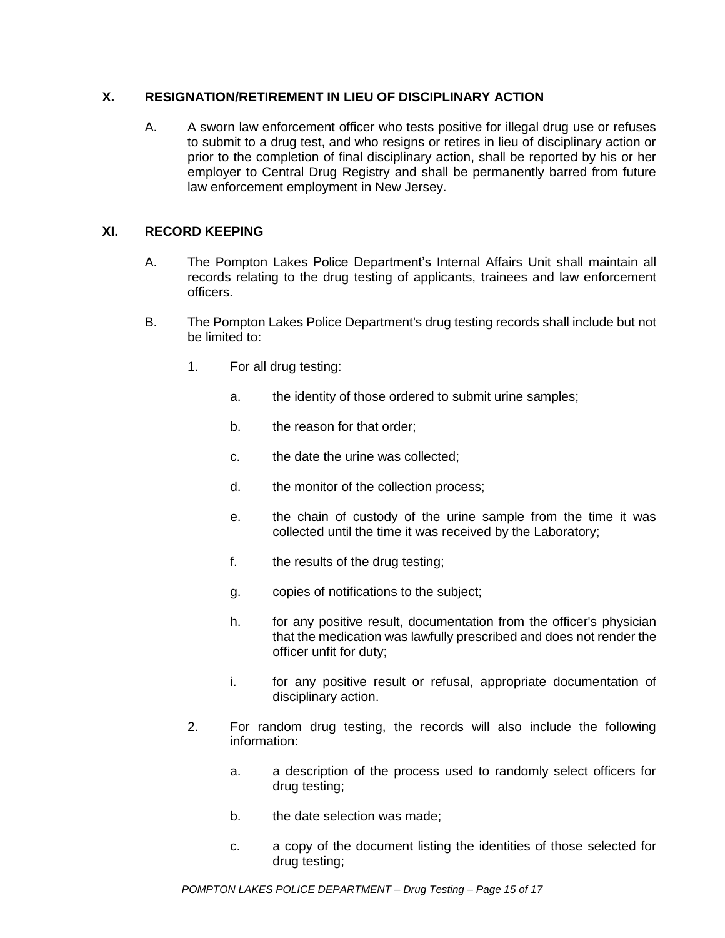### **X. RESIGNATION/RETIREMENT IN LIEU OF DISCIPLINARY ACTION**

A. A sworn law enforcement officer who tests positive for illegal drug use or refuses to submit to a drug test, and who resigns or retires in lieu of disciplinary action or prior to the completion of final disciplinary action, shall be reported by his or her employer to Central Drug Registry and shall be permanently barred from future law enforcement employment in New Jersey.

## **XI. RECORD KEEPING**

- A. The Pompton Lakes Police Department's Internal Affairs Unit shall maintain all records relating to the drug testing of applicants, trainees and law enforcement officers.
- B. The Pompton Lakes Police Department's drug testing records shall include but not be limited to:
	- 1. For all drug testing:
		- a. the identity of those ordered to submit urine samples;
		- b. the reason for that order;
		- c. the date the urine was collected;
		- d. the monitor of the collection process;
		- e. the chain of custody of the urine sample from the time it was collected until the time it was received by the Laboratory;
		- f. the results of the drug testing;
		- g. copies of notifications to the subject;
		- h. for any positive result, documentation from the officer's physician that the medication was lawfully prescribed and does not render the officer unfit for duty;
		- i. for any positive result or refusal, appropriate documentation of disciplinary action.
	- 2. For random drug testing, the records will also include the following information:
		- a. a description of the process used to randomly select officers for drug testing;
		- b. the date selection was made;
		- c. a copy of the document listing the identities of those selected for drug testing;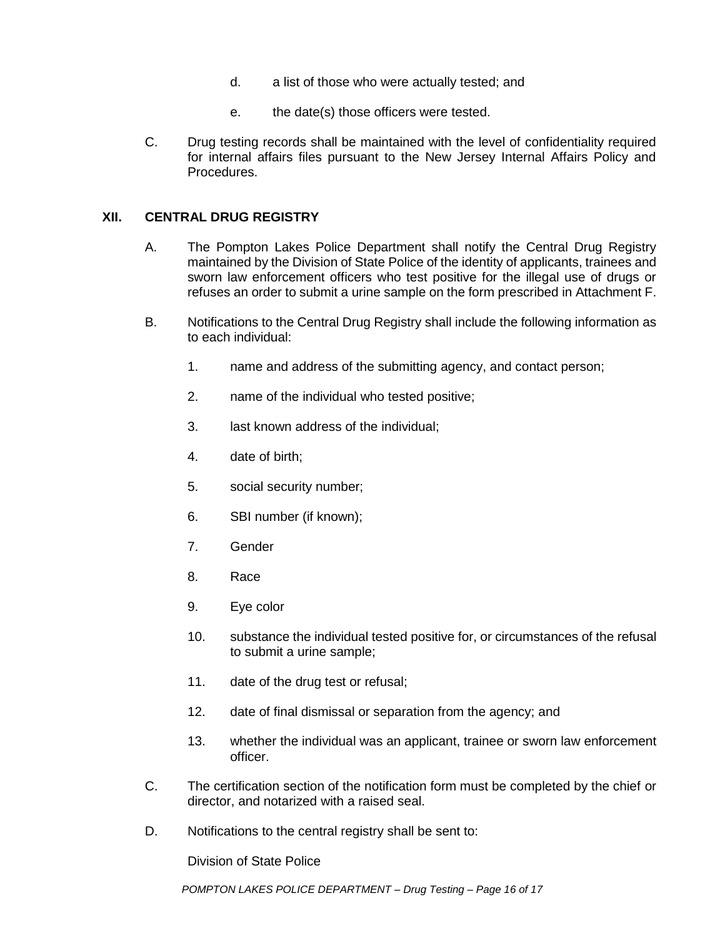- d. a list of those who were actually tested; and
- e. the date(s) those officers were tested.
- C. Drug testing records shall be maintained with the level of confidentiality required for internal affairs files pursuant to the New Jersey Internal Affairs Policy and Procedures.

#### **XII. CENTRAL DRUG REGISTRY**

- A. The Pompton Lakes Police Department shall notify the Central Drug Registry maintained by the Division of State Police of the identity of applicants, trainees and sworn law enforcement officers who test positive for the illegal use of drugs or refuses an order to submit a urine sample on the form prescribed in Attachment F.
- B. Notifications to the Central Drug Registry shall include the following information as to each individual:
	- 1. name and address of the submitting agency, and contact person;
	- 2. name of the individual who tested positive;
	- 3. last known address of the individual;
	- 4. date of birth;
	- 5. social security number;
	- 6. SBI number (if known);
	- 7. Gender
	- 8. Race
	- 9. Eye color
	- 10. substance the individual tested positive for, or circumstances of the refusal to submit a urine sample;
	- 11. date of the drug test or refusal;
	- 12. date of final dismissal or separation from the agency; and
	- 13. whether the individual was an applicant, trainee or sworn law enforcement officer.
- C. The certification section of the notification form must be completed by the chief or director, and notarized with a raised seal.
- D. Notifications to the central registry shall be sent to:

Division of State Police